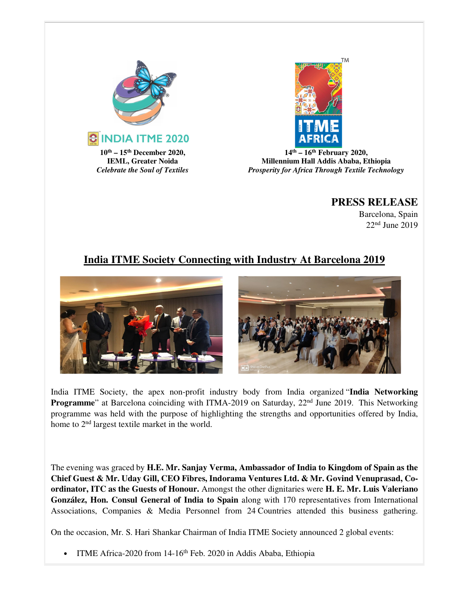



**14th – 16th February 2020, Millennium Hall Addis Ababa, Ethiopia**  *Prosperity for Africa Through Textile Technology*

## **PRESS RELEASE**

Barcelona, Spain 22nd June 2019

## **India ITME Society Connecting with Industry At Barcelona 2019**



India ITME Society, the apex non-profit industry body from India organized "**India Networking Programme**" at Barcelona coinciding with ITMA-2019 on Saturday, 22<sup>nd</sup> June 2019. This Networking programme was held with the purpose of highlighting the strengths and opportunities offered by India, home to 2nd largest textile market in the world.

The evening was graced by **H.E. Mr. Sanjay Verma, Ambassador of India to Kingdom of Spain as the Chief Guest & Mr. Uday Gill, CEO Fibres, Indorama Ventures Ltd. & Mr. Govind Venuprasad, Coordinator, ITC as the Guests of Honour.** Amongst the other dignitaries were **H. E. Mr. Luis Valeriano González, Hon. Consul General of India to Spain** along with 170 representatives from International Associations, Companies & Media Personnel from 24 Countries attended this business gathering.

On the occasion, Mr. S. Hari Shankar Chairman of India ITME Society announced 2 global events:

• ITME Africa-2020 from 14-16<sup>th</sup> Feb. 2020 in Addis Ababa, Ethiopia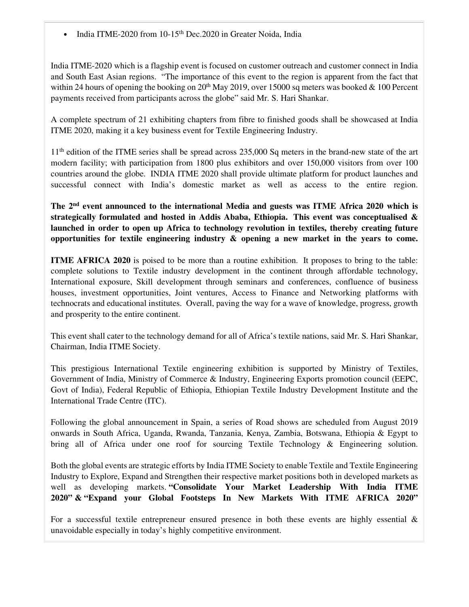• India ITME-2020 from 10-15<sup>th</sup> Dec.2020 in Greater Noida, India

India ITME-2020 which is a flagship event is focused on customer outreach and customer connect in India and South East Asian regions. "The importance of this event to the region is apparent from the fact that within 24 hours of opening the booking on  $20<sup>th</sup>$  May 2019, over 15000 sq meters was booked & 100 Percent payments received from participants across the globe" said Mr. S. Hari Shankar.

A complete spectrum of 21 exhibiting chapters from fibre to finished goods shall be showcased at India ITME 2020, making it a key business event for Textile Engineering Industry.

11<sup>th</sup> edition of the ITME series shall be spread across 235,000 Sq meters in the brand-new state of the art modern facility; with participation from 1800 plus exhibitors and over 150,000 visitors from over 100 countries around the globe. INDIA ITME 2020 shall provide ultimate platform for product launches and successful connect with India's domestic market as well as access to the entire region.

**The 2nd event announced to the international Media and guests was ITME Africa 2020 which is strategically formulated and hosted in Addis Ababa, Ethiopia. This event was conceptualised & launched in order to open up Africa to technology revolution in textiles, thereby creating future opportunities for textile engineering industry & opening a new market in the years to come.**

**ITME AFRICA 2020** is poised to be more than a routine exhibition. It proposes to bring to the table: complete solutions to Textile industry development in the continent through affordable technology, International exposure, Skill development through seminars and conferences, confluence of business houses, investment opportunities, Joint ventures, Access to Finance and Networking platforms with technocrats and educational institutes. Overall, paving the way for a wave of knowledge, progress, growth and prosperity to the entire continent.

This event shall cater to the technology demand for all of Africa's textile nations, said Mr. S. Hari Shankar, Chairman, India ITME Society.

This prestigious International Textile engineering exhibition is supported by Ministry of Textiles, Government of India, Ministry of Commerce & Industry, Engineering Exports promotion council (EEPC, Govt of India), Federal Republic of Ethiopia, Ethiopian Textile Industry Development Institute and the International Trade Centre (ITC).

Following the global announcement in Spain, a series of Road shows are scheduled from August 2019 onwards in South Africa, Uganda, Rwanda, Tanzania, Kenya, Zambia, Botswana, Ethiopia & Egypt to bring all of Africa under one roof for sourcing Textile Technology & Engineering solution.

Both the global events are strategic efforts by India ITME Society to enable Textile and Textile Engineering Industry to Explore, Expand and Strengthen their respective market positions both in developed markets as well as developing markets. **"Consolidate Your Market Leadership With India ITME 2020" & "Expand your Global Footsteps In New Markets With ITME AFRICA 2020"**

For a successful textile entrepreneur ensured presence in both these events are highly essential  $\&$ unavoidable especially in today's highly competitive environment.